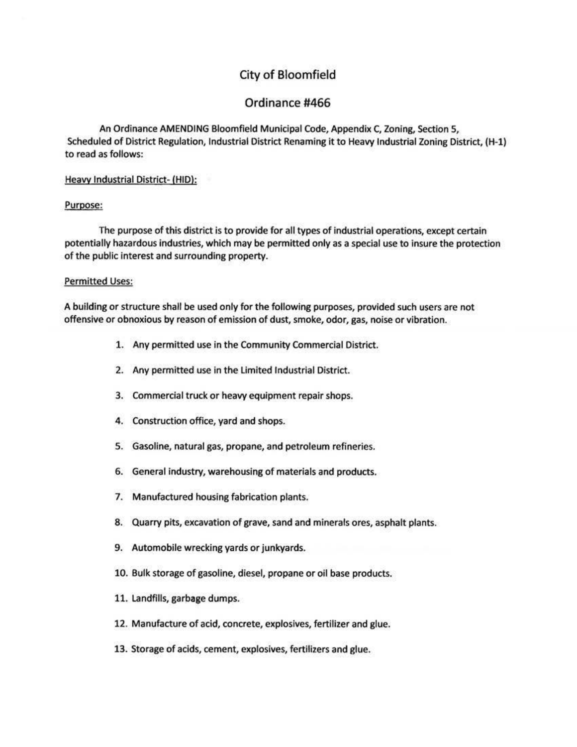# City of Bloomfield

# Ordinance #466

An Ordinance AMENDING Bloomfield Municipal Code, Appendix C, Zoning, Section 5, Scheduled of District Regulation, Industrial District Renaming it to Heavy Industrial Zoning District, (H-1) to read as follows:

## Heaw Industrial District- (HID):

#### Purpose:

The purpose of this district is to provide for all types of industrial operations, except certain potentially hazardous industries, which may be permitted only as a special use to insure the protection of the public interest and surrounding property.

#### Permitted Uses:

A building or structure shall be used only for the following purposes, provided such users are not offensive or obnoxious by reason of emission of dust, smoke, odor, gas, noise or vibration.

- 1. Any permitted use in the Community Commercial District.
- 2. Any permitted use in the Limited Industrial District.
- 3. Commercial truck or heavy equipment repair shops.
- 4. Construction office, yard and shops.
- 5. Gasoline, natural gas, propane, and petroleum refineries.
- 6. General industry, warehousing of materials and products.
- 7. Manufactured housing fabrication plants.
- 8. Quarry pits, excavation of grave, sand and minerals ores, asphalt plants.
- 9. Automobile wrecking yards or junkyards.
- 10. Bulk storage of gasoline, diesel, propane or oil base products.
- 11. Landfills, garbage dumps.
- 12. Manufacture of acid, concrete, explosives, fertilizer and glue.
- 13. Storage of acids, cement, explosives, fertilizers and glue.